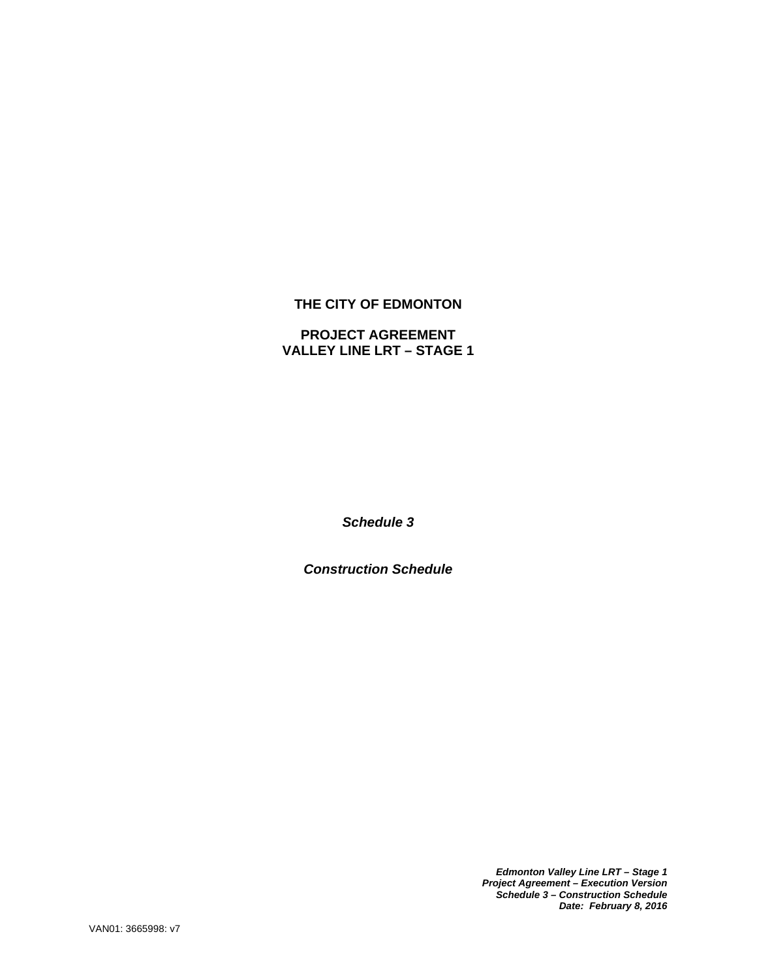# **THE CITY OF EDMONTON**

# **PROJECT AGREEMENT VALLEY LINE LRT – STAGE 1**

*Schedule 3* 

*Construction Schedule* 

*Edmonton Valley Line LRT – Stage 1 Project Agreement – Execution Version Schedule 3 – Construction Schedule Date: February 8, 2016*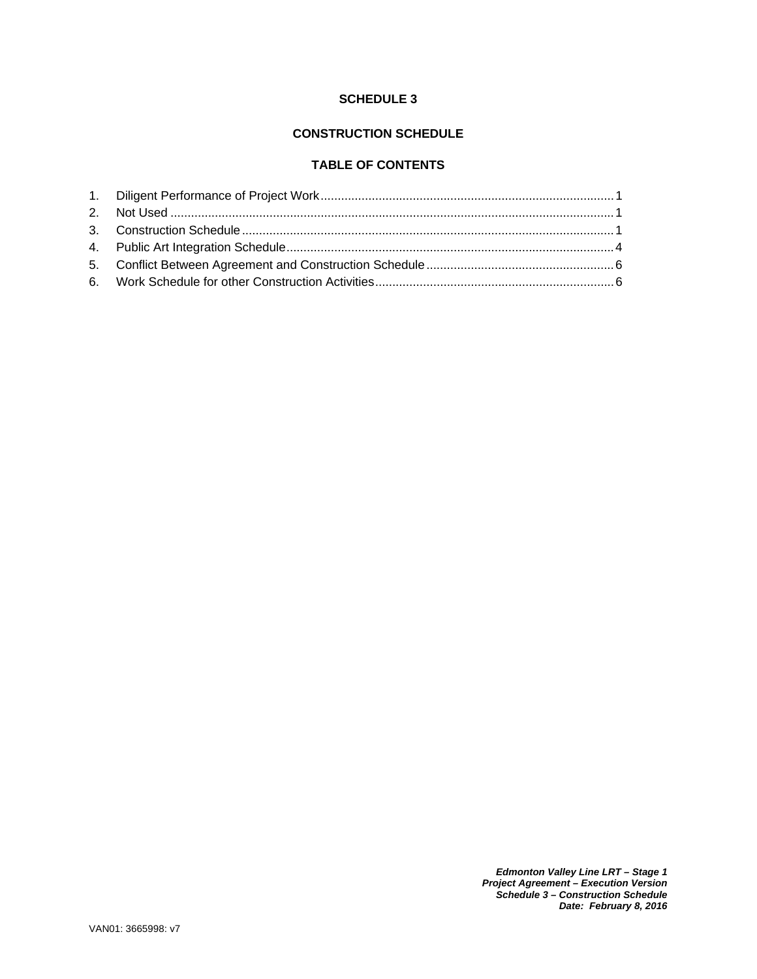## **SCHEDULE 3**

## **CONSTRUCTION SCHEDULE**

## **TABLE OF CONTENTS**

*Edmonton Valley Line LRT – Stage 1 Project Agreement – Execution Version Schedule 3 – Construction Schedule Date: February 8, 2016*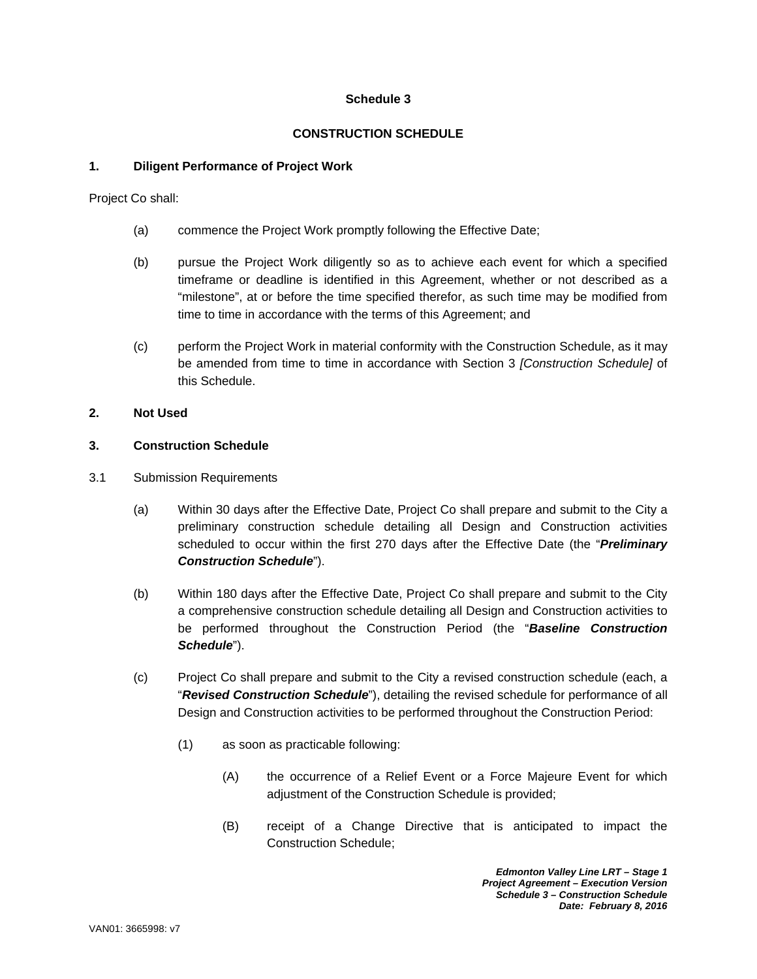## **Schedule 3**

#### **CONSTRUCTION SCHEDULE**

#### **1. Diligent Performance of Project Work**

Project Co shall:

- (a) commence the Project Work promptly following the Effective Date;
- (b) pursue the Project Work diligently so as to achieve each event for which a specified timeframe or deadline is identified in this Agreement, whether or not described as a "milestone", at or before the time specified therefor, as such time may be modified from time to time in accordance with the terms of this Agreement; and
- (c) perform the Project Work in material conformity with the Construction Schedule, as it may be amended from time to time in accordance with Section 3 *[Construction Schedule]* of this Schedule.

#### **2. Not Used**

#### **3. Construction Schedule**

- 3.1 Submission Requirements
	- (a) Within 30 days after the Effective Date, Project Co shall prepare and submit to the City a preliminary construction schedule detailing all Design and Construction activities scheduled to occur within the first 270 days after the Effective Date (the "*Preliminary Construction Schedule*").
	- (b) Within 180 days after the Effective Date, Project Co shall prepare and submit to the City a comprehensive construction schedule detailing all Design and Construction activities to be performed throughout the Construction Period (the "*Baseline Construction Schedule*").
	- (c) Project Co shall prepare and submit to the City a revised construction schedule (each, a "*Revised Construction Schedule*"), detailing the revised schedule for performance of all Design and Construction activities to be performed throughout the Construction Period:
		- (1) as soon as practicable following:
			- (A) the occurrence of a Relief Event or a Force Majeure Event for which adjustment of the Construction Schedule is provided;
			- (B) receipt of a Change Directive that is anticipated to impact the Construction Schedule;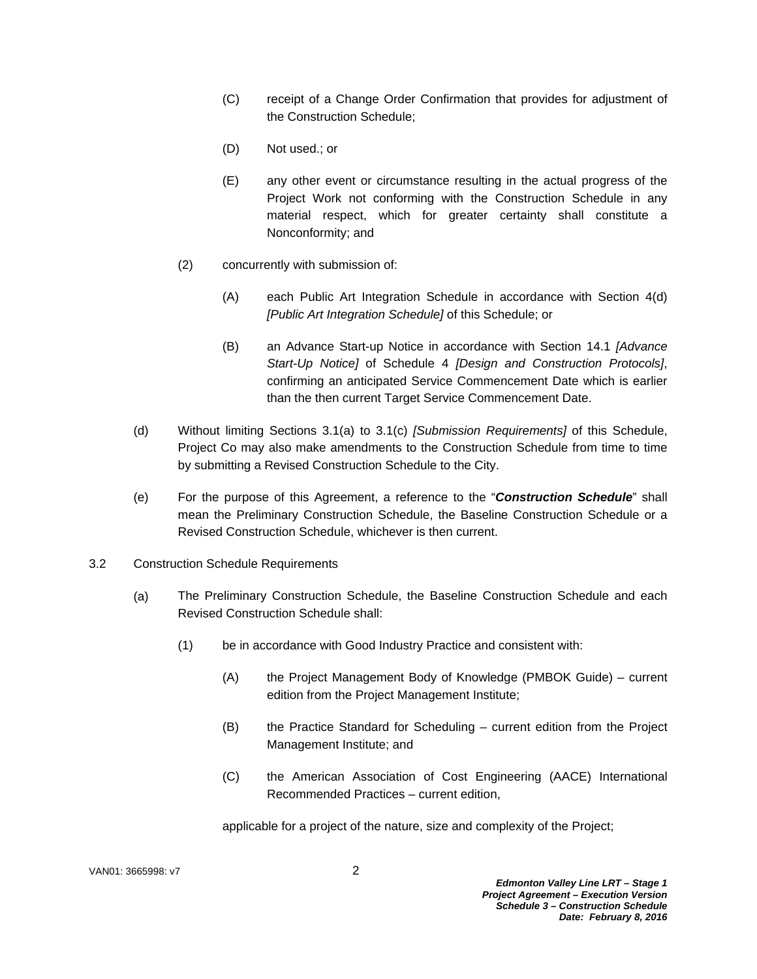- (C) receipt of a Change Order Confirmation that provides for adjustment of the Construction Schedule;
- (D) Not used.; or
- (E) any other event or circumstance resulting in the actual progress of the Project Work not conforming with the Construction Schedule in any material respect, which for greater certainty shall constitute a Nonconformity; and
- (2) concurrently with submission of:
	- (A) each Public Art Integration Schedule in accordance with Section 4(d) *[Public Art Integration Schedule]* of this Schedule; or
	- (B) an Advance Start-up Notice in accordance with Section 14.1 *[Advance Start-Up Notice]* of Schedule 4 *[Design and Construction Protocols]*, confirming an anticipated Service Commencement Date which is earlier than the then current Target Service Commencement Date.
- (d) Without limiting Sections 3.1(a) to 3.1(c) *[Submission Requirements]* of this Schedule, Project Co may also make amendments to the Construction Schedule from time to time by submitting a Revised Construction Schedule to the City.
- (e) For the purpose of this Agreement, a reference to the "*Construction Schedule*" shall mean the Preliminary Construction Schedule, the Baseline Construction Schedule or a Revised Construction Schedule, whichever is then current.
- 3.2 Construction Schedule Requirements
	- (a) The Preliminary Construction Schedule, the Baseline Construction Schedule and each Revised Construction Schedule shall:
		- (1) be in accordance with Good Industry Practice and consistent with:
			- (A) the Project Management Body of Knowledge (PMBOK Guide) current edition from the Project Management Institute;
			- (B) the Practice Standard for Scheduling current edition from the Project Management Institute; and
			- (C) the American Association of Cost Engineering (AACE) International Recommended Practices – current edition,

applicable for a project of the nature, size and complexity of the Project;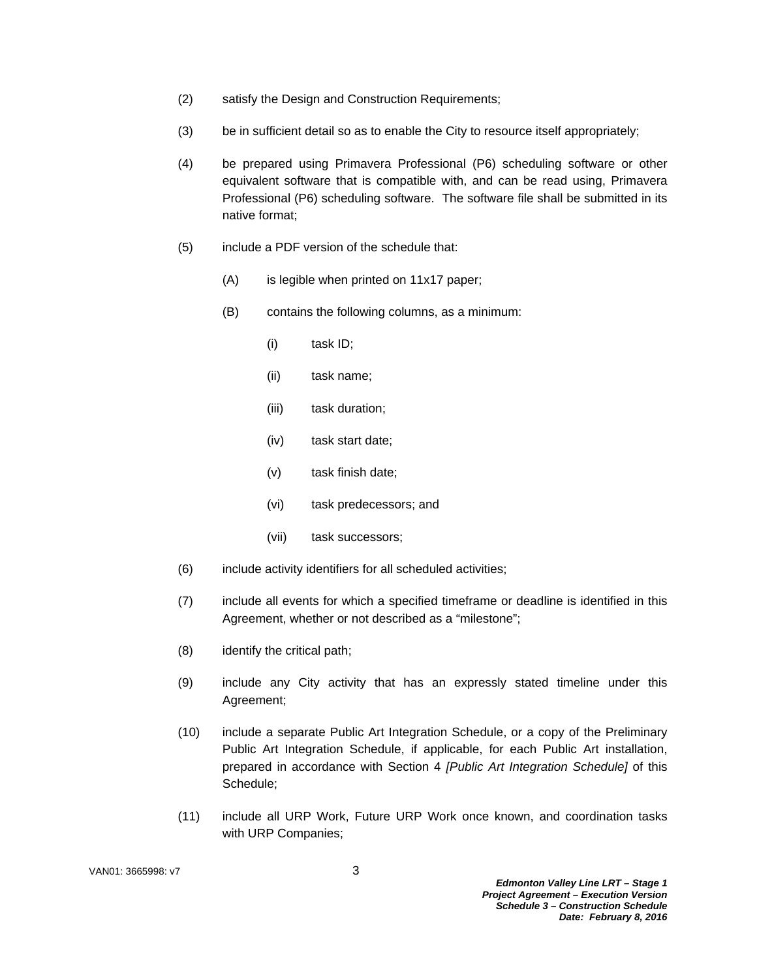- (2) satisfy the Design and Construction Requirements;
- (3) be in sufficient detail so as to enable the City to resource itself appropriately;
- (4) be prepared using Primavera Professional (P6) scheduling software or other equivalent software that is compatible with, and can be read using, Primavera Professional (P6) scheduling software. The software file shall be submitted in its native format;
- (5) include a PDF version of the schedule that:
	- (A) is legible when printed on 11x17 paper;
	- (B) contains the following columns, as a minimum:
		- (i) task ID;
		- (ii) task name;
		- (iii) task duration;
		- (iv) task start date;
		- (v) task finish date;
		- (vi) task predecessors; and
		- (vii) task successors;
- (6) include activity identifiers for all scheduled activities;
- (7) include all events for which a specified timeframe or deadline is identified in this Agreement, whether or not described as a "milestone";
- (8) identify the critical path;
- (9) include any City activity that has an expressly stated timeline under this Agreement;
- (10) include a separate Public Art Integration Schedule, or a copy of the Preliminary Public Art Integration Schedule, if applicable, for each Public Art installation, prepared in accordance with Section 4 *[Public Art Integration Schedule]* of this Schedule;
- (11) include all URP Work, Future URP Work once known, and coordination tasks with URP Companies;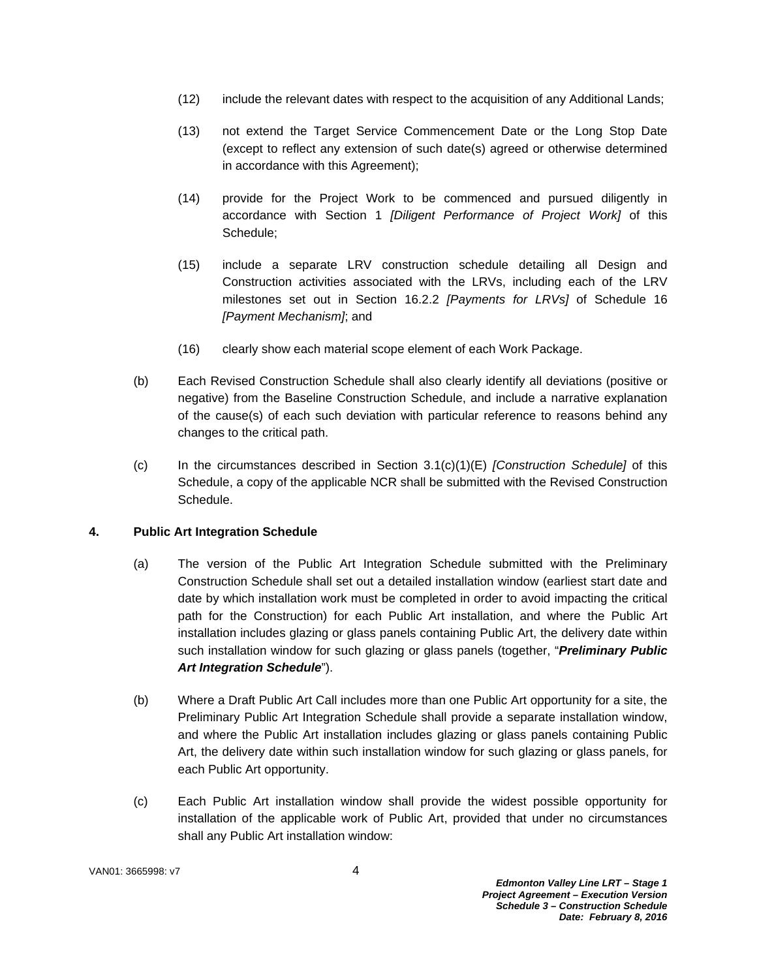- (12) include the relevant dates with respect to the acquisition of any Additional Lands;
- (13) not extend the Target Service Commencement Date or the Long Stop Date (except to reflect any extension of such date(s) agreed or otherwise determined in accordance with this Agreement);
- (14) provide for the Project Work to be commenced and pursued diligently in accordance with Section 1 *[Diligent Performance of Project Work]* of this Schedule;
- (15) include a separate LRV construction schedule detailing all Design and Construction activities associated with the LRVs, including each of the LRV milestones set out in Section 16.2.2 *[Payments for LRVs]* of Schedule 16 *[Payment Mechanism]*; and
- (16) clearly show each material scope element of each Work Package.
- (b) Each Revised Construction Schedule shall also clearly identify all deviations (positive or negative) from the Baseline Construction Schedule, and include a narrative explanation of the cause(s) of each such deviation with particular reference to reasons behind any changes to the critical path.
- (c) In the circumstances described in Section 3.1(c)(1)(E) *[Construction Schedule]* of this Schedule, a copy of the applicable NCR shall be submitted with the Revised Construction Schedule.

## **4. Public Art Integration Schedule**

- (a) The version of the Public Art Integration Schedule submitted with the Preliminary Construction Schedule shall set out a detailed installation window (earliest start date and date by which installation work must be completed in order to avoid impacting the critical path for the Construction) for each Public Art installation, and where the Public Art installation includes glazing or glass panels containing Public Art, the delivery date within such installation window for such glazing or glass panels (together, "*Preliminary Public Art Integration Schedule*").
- (b) Where a Draft Public Art Call includes more than one Public Art opportunity for a site, the Preliminary Public Art Integration Schedule shall provide a separate installation window, and where the Public Art installation includes glazing or glass panels containing Public Art, the delivery date within such installation window for such glazing or glass panels, for each Public Art opportunity.
- (c) Each Public Art installation window shall provide the widest possible opportunity for installation of the applicable work of Public Art, provided that under no circumstances shall any Public Art installation window:

VAN01: 3665998: v7 4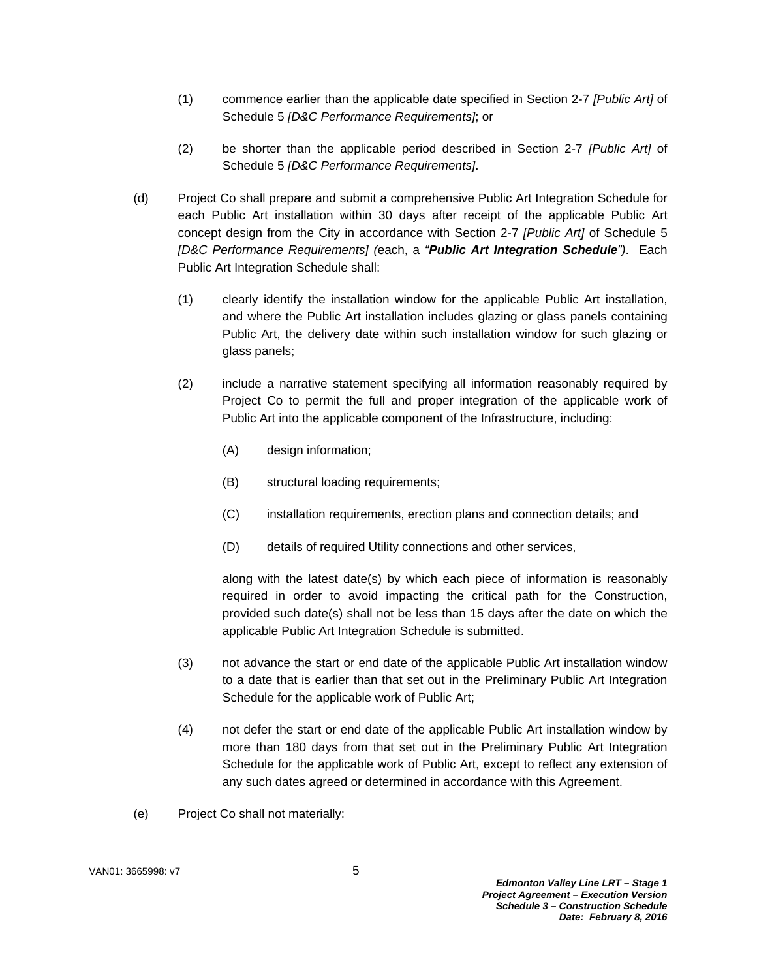- (1) commence earlier than the applicable date specified in Section 2-7 *[Public Art]* of Schedule 5 *[D&C Performance Requirements]*; or
- (2) be shorter than the applicable period described in Section 2-7 *[Public Art]* of Schedule 5 *[D&C Performance Requirements]*.
- (d) Project Co shall prepare and submit a comprehensive Public Art Integration Schedule for each Public Art installation within 30 days after receipt of the applicable Public Art concept design from the City in accordance with Section 2-7 *[Public Art]* of Schedule 5 *[D&C Performance Requirements] (*each, a *"Public Art Integration Schedule")*. Each Public Art Integration Schedule shall:
	- (1) clearly identify the installation window for the applicable Public Art installation, and where the Public Art installation includes glazing or glass panels containing Public Art, the delivery date within such installation window for such glazing or glass panels;
	- (2) include a narrative statement specifying all information reasonably required by Project Co to permit the full and proper integration of the applicable work of Public Art into the applicable component of the Infrastructure, including:
		- (A) design information;
		- (B) structural loading requirements;
		- (C) installation requirements, erection plans and connection details; and
		- (D) details of required Utility connections and other services,

along with the latest date(s) by which each piece of information is reasonably required in order to avoid impacting the critical path for the Construction, provided such date(s) shall not be less than 15 days after the date on which the applicable Public Art Integration Schedule is submitted.

- (3) not advance the start or end date of the applicable Public Art installation window to a date that is earlier than that set out in the Preliminary Public Art Integration Schedule for the applicable work of Public Art;
- (4) not defer the start or end date of the applicable Public Art installation window by more than 180 days from that set out in the Preliminary Public Art Integration Schedule for the applicable work of Public Art, except to reflect any extension of any such dates agreed or determined in accordance with this Agreement.
- (e) Project Co shall not materially: